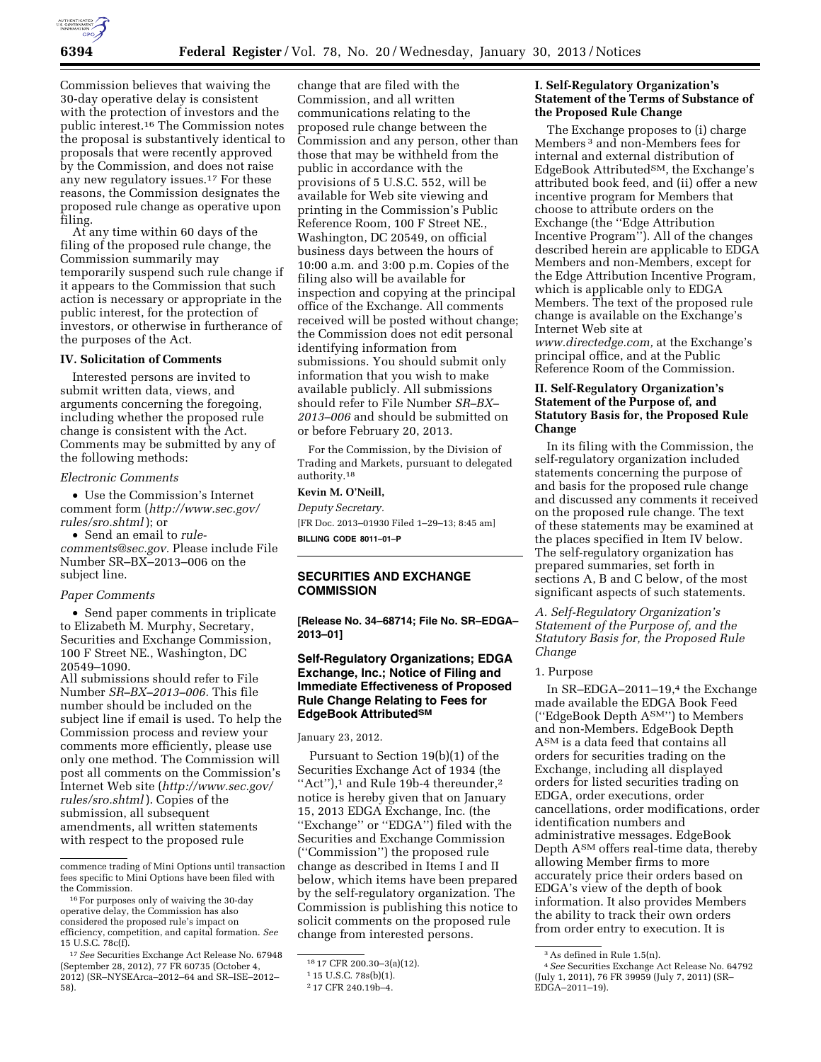

Commission believes that waiving the 30-day operative delay is consistent with the protection of investors and the public interest.16 The Commission notes the proposal is substantively identical to proposals that were recently approved by the Commission, and does not raise any new regulatory issues.17 For these reasons, the Commission designates the proposed rule change as operative upon filing.

At any time within 60 days of the filing of the proposed rule change, the Commission summarily may temporarily suspend such rule change if it appears to the Commission that such action is necessary or appropriate in the public interest, for the protection of investors, or otherwise in furtherance of the purposes of the Act.

### **IV. Solicitation of Comments**

Interested persons are invited to submit written data, views, and arguments concerning the foregoing, including whether the proposed rule change is consistent with the Act. Comments may be submitted by any of the following methods:

### *Electronic Comments*

• Use the Commission's Internet comment form (*[http://www.sec.gov/](http://www.sec.gov/rules/sro.shtml)  [rules/sro.shtml](http://www.sec.gov/rules/sro.shtml)* ); or

• Send an email to *[rule](mailto:torule-comments@sec.gov)[comments@sec.gov.](mailto:torule-comments@sec.gov)* Please include File Number SR–BX–2013–006 on the subject line.

## *Paper Comments*

• Send paper comments in triplicate to Elizabeth M. Murphy, Secretary, Securities and Exchange Commission, 100 F Street NE., Washington, DC 20549–1090.

All submissions should refer to File Number *SR–BX–2013–006.* This file number should be included on the subject line if email is used. To help the Commission process and review your comments more efficiently, please use only one method. The Commission will post all comments on the Commission's Internet Web site (*[http://www.sec.gov/](http://www.sec.gov/rules/sro.shtml)  [rules/sro.shtml](http://www.sec.gov/rules/sro.shtml)* ). Copies of the submission, all subsequent amendments, all written statements with respect to the proposed rule

change that are filed with the Commission, and all written communications relating to the proposed rule change between the Commission and any person, other than those that may be withheld from the public in accordance with the provisions of 5 U.S.C. 552, will be available for Web site viewing and printing in the Commission's Public Reference Room, 100 F Street NE., Washington, DC 20549, on official business days between the hours of 10:00 a.m. and 3:00 p.m. Copies of the filing also will be available for inspection and copying at the principal office of the Exchange. All comments received will be posted without change; the Commission does not edit personal identifying information from submissions. You should submit only information that you wish to make available publicly. All submissions should refer to File Number *SR–BX– 2013–006* and should be submitted on or before February 20, 2013.

For the Commission, by the Division of Trading and Markets, pursuant to delegated authority.18

# **Kevin M. O'Neill,**

*Deputy Secretary.*  [FR Doc. 2013–01930 Filed 1–29–13; 8:45 am] **BILLING CODE 8011–01–P** 

# **SECURITIES AND EXCHANGE COMMISSION**

**[Release No. 34–68714; File No. SR–EDGA– 2013–01]** 

# **Self-Regulatory Organizations; EDGA Exchange, Inc.; Notice of Filing and Immediate Effectiveness of Proposed Rule Change Relating to Fees for EdgeBook AttributedSM**

January 23, 2012.

Pursuant to Section 19(b)(1) of the Securities Exchange Act of 1934 (the "Act"), $1$  and Rule 19b-4 thereunder, $2$ notice is hereby given that on January 15, 2013 EDGA Exchange, Inc. (the ''Exchange'' or ''EDGA'') filed with the Securities and Exchange Commission (''Commission'') the proposed rule change as described in Items I and II below, which items have been prepared by the self-regulatory organization. The Commission is publishing this notice to solicit comments on the proposed rule change from interested persons.

## **I. Self-Regulatory Organization's Statement of the Terms of Substance of the Proposed Rule Change**

The Exchange proposes to (i) charge Members 3 and non-Members fees for internal and external distribution of EdgeBook AttributedSM, the Exchange's attributed book feed, and (ii) offer a new incentive program for Members that choose to attribute orders on the Exchange (the ''Edge Attribution Incentive Program''). All of the changes described herein are applicable to EDGA Members and non-Members, except for the Edge Attribution Incentive Program, which is applicable only to EDGA Members. The text of the proposed rule change is available on the Exchange's Internet Web site at *[www.directedge.com,](http://www.directedge.com)* at the Exchange's

principal office, and at the Public Reference Room of the Commission.

# **II. Self-Regulatory Organization's Statement of the Purpose of, and Statutory Basis for, the Proposed Rule Change**

In its filing with the Commission, the self-regulatory organization included statements concerning the purpose of and basis for the proposed rule change and discussed any comments it received on the proposed rule change. The text of these statements may be examined at the places specified in Item IV below. The self-regulatory organization has prepared summaries, set forth in sections A, B and C below, of the most significant aspects of such statements.

*A. Self-Regulatory Organization's Statement of the Purpose of, and the Statutory Basis for, the Proposed Rule Change* 

## 1. Purpose

In SR-EDGA-2011-19,<sup>4</sup> the Exchange made available the EDGA Book Feed (''EdgeBook Depth ASM'') to Members and non-Members. EdgeBook Depth ASM is a data feed that contains all orders for securities trading on the Exchange, including all displayed orders for listed securities trading on EDGA, order executions, order cancellations, order modifications, order identification numbers and administrative messages. EdgeBook Depth ASM offers real-time data, thereby allowing Member firms to more accurately price their orders based on EDGA's view of the depth of book information. It also provides Members the ability to track their own orders from order entry to execution. It is

commence trading of Mini Options until transaction fees specific to Mini Options have been filed with the Commission.

 $^{16}\rm{For}$  purposes only of waiving the 30-day operative delay, the Commission has also considered the proposed rule's impact on efficiency, competition, and capital formation. *See*  15 U.S.C. 78c(f).

<sup>17</sup>*See* Securities Exchange Act Release No. 67948 (September 28, 2012), 77 FR 60735 (October 4, 2012) (SR–NYSEArca–2012–64 and SR–ISE–2012– 58).

<sup>18</sup> 17 CFR 200.30–3(a)(12).

<sup>1</sup> 15 U.S.C. 78s(b)(1).

<sup>2</sup> 17 CFR 240.19b–4.

<sup>3</sup>As defined in Rule 1.5(n).

<sup>4</sup>*See* Securities Exchange Act Release No. 64792 (July 1, 2011), 76 FR 39959 (July 7, 2011) (SR– EDGA–2011–19).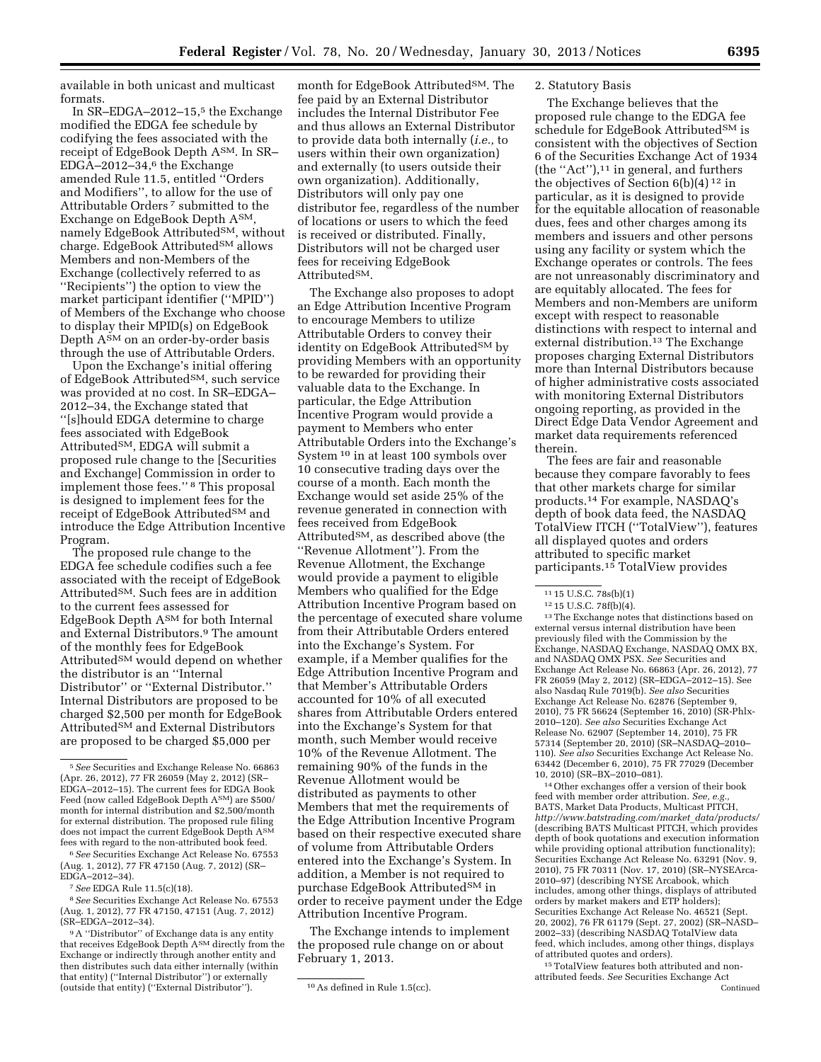available in both unicast and multicast formats.

In SR-EDGA-2012-15,<sup>5</sup> the Exchange modified the EDGA fee schedule by codifying the fees associated with the receipt of EdgeBook Depth ASM. In SR– EDGA–2012–34,6 the Exchange amended Rule 11.5, entitled ''Orders and Modifiers'', to allow for the use of Attributable Orders 7 submitted to the Exchange on EdgeBook Depth ASM, namely EdgeBook Attributed<sup>SM</sup>, without charge. EdgeBook Attributed<sup>SM</sup> allows Members and non-Members of the Exchange (collectively referred to as ''Recipients'') the option to view the market participant identifier (''MPID'') of Members of the Exchange who choose to display their MPID(s) on EdgeBook Depth A<sup>SM</sup> on an order-by-order basis through the use of Attributable Orders.

Upon the Exchange's initial offering of EdgeBook Attributed<sup>SM</sup>, such service was provided at no cost. In SR–EDGA– 2012–34, the Exchange stated that ''[s]hould EDGA determine to charge fees associated with EdgeBook AttributedSM, EDGA will submit a proposed rule change to the [Securities and Exchange] Commission in order to implement those fees.'' 8 This proposal is designed to implement fees for the receipt of EdgeBook AttributedSM and introduce the Edge Attribution Incentive Program.

The proposed rule change to the EDGA fee schedule codifies such a fee associated with the receipt of EdgeBook AttributedSM. Such fees are in addition to the current fees assessed for EdgeBook Depth ASM for both Internal and External Distributors.9 The amount of the monthly fees for EdgeBook Attributed<sup>SM</sup> would depend on whether the distributor is an ''Internal Distributor'' or ''External Distributor.'' Internal Distributors are proposed to be charged \$2,500 per month for EdgeBook Attributed<sup>SM</sup> and External Distributors are proposed to be charged \$5,000 per

6*See* Securities Exchange Act Release No. 67553 (Aug. 1, 2012), 77 FR 47150 (Aug. 7, 2012) (SR– EDGA–2012–34).

8*See* Securities Exchange Act Release No. 67553 (Aug. 1, 2012), 77 FR 47150, 47151 (Aug. 7, 2012) (SR–EDGA–2012–34).

month for EdgeBook Attributed<sup>SM</sup>. The fee paid by an External Distributor includes the Internal Distributor Fee and thus allows an External Distributor to provide data both internally (*i.e.,* to users within their own organization) and externally (to users outside their own organization). Additionally, Distributors will only pay one distributor fee, regardless of the number of locations or users to which the feed is received or distributed. Finally, Distributors will not be charged user fees for receiving EdgeBook AttributedSM.

The Exchange also proposes to adopt an Edge Attribution Incentive Program to encourage Members to utilize Attributable Orders to convey their identity on EdgeBook Attributed<sup>SM</sup> by providing Members with an opportunity to be rewarded for providing their valuable data to the Exchange. In particular, the Edge Attribution Incentive Program would provide a payment to Members who enter Attributable Orders into the Exchange's System 10 in at least 100 symbols over 10 consecutive trading days over the course of a month. Each month the Exchange would set aside 25% of the revenue generated in connection with fees received from EdgeBook AttributedSM, as described above (the ''Revenue Allotment''). From the Revenue Allotment, the Exchange would provide a payment to eligible Members who qualified for the Edge Attribution Incentive Program based on the percentage of executed share volume from their Attributable Orders entered into the Exchange's System. For example, if a Member qualifies for the Edge Attribution Incentive Program and that Member's Attributable Orders accounted for 10% of all executed shares from Attributable Orders entered into the Exchange's System for that month, such Member would receive 10% of the Revenue Allotment. The remaining 90% of the funds in the Revenue Allotment would be distributed as payments to other Members that met the requirements of the Edge Attribution Incentive Program based on their respective executed share of volume from Attributable Orders entered into the Exchange's System. In addition, a Member is not required to purchase EdgeBook AttributedSM in order to receive payment under the Edge Attribution Incentive Program.

The Exchange intends to implement the proposed rule change on or about February 1, 2013.

## 2. Statutory Basis

The Exchange believes that the proposed rule change to the EDGA fee schedule for EdgeBook Attributed<sup>SM</sup> is consistent with the objectives of Section 6 of the Securities Exchange Act of 1934 (the ''Act''),11 in general, and furthers the objectives of Section  $6(b)(4)^{12}$  in particular, as it is designed to provide for the equitable allocation of reasonable dues, fees and other charges among its members and issuers and other persons using any facility or system which the Exchange operates or controls. The fees are not unreasonably discriminatory and are equitably allocated. The fees for Members and non-Members are uniform except with respect to reasonable distinctions with respect to internal and external distribution.<sup>13</sup> The Exchange proposes charging External Distributors more than Internal Distributors because of higher administrative costs associated with monitoring External Distributors ongoing reporting, as provided in the Direct Edge Data Vendor Agreement and market data requirements referenced therein.

The fees are fair and reasonable because they compare favorably to fees that other markets charge for similar products.14 For example, NASDAQ's depth of book data feed, the NASDAQ TotalView ITCH (''TotalView''), features all displayed quotes and orders attributed to specific market participants.15 TotalView provides

<sup>11</sup> 15 U.S.C. 78s(b)(1)<br><sup>12</sup> 15 U.S.C. 78f(b)(4).<br><sup>13</sup>The Exchange notes that distinctions based on external versus internal distribution have been previously filed with the Commission by the Exchange, NASDAQ Exchange, NASDAQ OMX BX, and NASDAQ OMX PSX. *See* Securities and Exchange Act Release No. 66863 (Apr. 26, 2012), 77 FR 26059 (May 2, 2012) (SR–EDGA–2012–15). See also Nasdaq Rule 7019(b). *See also* Securities Exchange Act Release No. 62876 (September 9, 2010), 75 FR 56624 (September 16, 2010) (SR-Phlx-2010–120). *See also* Securities Exchange Act Release No. 62907 (September 14, 2010), 75 FR 57314 (September 20, 2010) (SR–NASDAQ–2010– 110). *See also* Securities Exchange Act Release No. 63442 (December 6, 2010), 75 FR 77029 (December 10, 2010) (SR–BX–2010–081).

14Other exchanges offer a version of their book feed with member order attribution. *See, e.g.,*  BATS, Market Data Products, Multicast PITCH, *[http://www.batstrading.com/market](http://www.batstrading.com/market_data/products/)*\_*data/products/*  (describing BATS Multicast PITCH, which provides depth of book quotations and execution information while providing optional attribution functionality); Securities Exchange Act Release No. 63291 (Nov. 9, 2010), 75 FR 70311 (Nov. 17, 2010) (SR–NYSEArca-2010–97) (describing NYSE Arcabook, which includes, among other things, displays of attributed orders by market makers and ETP holders); Securities Exchange Act Release No. 46521 (Sept. 20, 2002), 76 FR 61179 (Sept. 27, 2002) (SR–NASD– 2002–33) (describing NASDAQ TotalView data feed, which includes, among other things, displays of attributed quotes and orders).

 $^{\rm 15}\,$  Total<br>View features both attributed and nonattributed feeds. *See* Securities Exchange Act Continued

<sup>5</sup>*See* Securities and Exchange Release No. 66863 (Apr. 26, 2012), 77 FR 26059 (May 2, 2012) (SR– EDGA–2012–15). The current fees for EDGA Book Feed (now called EdgeBook Depth ASM) are \$500/ month for internal distribution and \$2,500/month for external distribution. The proposed rule filing does not impact the current EdgeBook Depth ASM fees with regard to the non-attributed book feed.

<sup>7</sup>*See* EDGA Rule 11.5(c)(18).

<sup>9</sup>A ''Distributor'' of Exchange data is any entity that receives EdgeBook Depth ASM directly from the Exchange or indirectly through another entity and then distributes such data either internally (within that entity) (''Internal Distributor'') or externally (outside that entity) ("External Distributor"). <sup>10</sup> As defined in Rule 1.5(cc).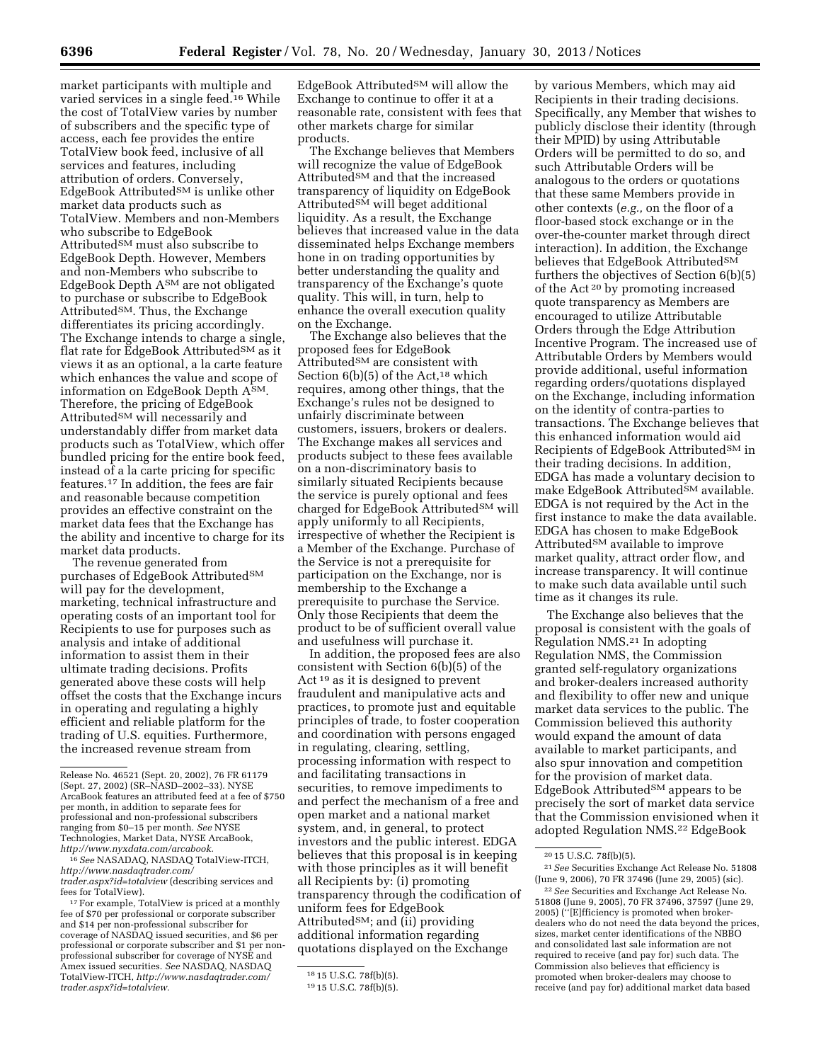market participants with multiple and varied services in a single feed.16 While the cost of TotalView varies by number of subscribers and the specific type of access, each fee provides the entire TotalView book feed, inclusive of all services and features, including attribution of orders. Conversely, EdgeBook AttributedSM is unlike other market data products such as TotalView. Members and non-Members who subscribe to EdgeBook Attributed<sup>SM</sup> must also subscribe to EdgeBook Depth. However, Members and non-Members who subscribe to EdgeBook Depth ASM are not obligated to purchase or subscribe to EdgeBook AttributedSM. Thus, the Exchange differentiates its pricing accordingly. The Exchange intends to charge a single, flat rate for EdgeBook Attributed<sup>SM</sup> as it views it as an optional, a la carte feature which enhances the value and scope of information on EdgeBook Depth ASM. Therefore, the pricing of EdgeBook Attributed<sup>SM</sup> will necessarily and understandably differ from market data products such as TotalView, which offer bundled pricing for the entire book feed, instead of a la carte pricing for specific features.17 In addition, the fees are fair and reasonable because competition provides an effective constraint on the market data fees that the Exchange has the ability and incentive to charge for its market data products.

The revenue generated from purchases of EdgeBook Attributed<sup>SM</sup> will pay for the development, marketing, technical infrastructure and operating costs of an important tool for Recipients to use for purposes such as analysis and intake of additional information to assist them in their ultimate trading decisions. Profits generated above these costs will help offset the costs that the Exchange incurs in operating and regulating a highly efficient and reliable platform for the trading of U.S. equities. Furthermore, the increased revenue stream from

16*See* NASADAQ, NASDAQ TotalView-ITCH, *[http://www.nasdaqtrader.com/](http://www.nasdaqtrader.com/trader.aspx?id=totalview)  [trader.aspx?id=totalview](http://www.nasdaqtrader.com/trader.aspx?id=totalview)* (describing services and

<sup>17</sup> For example, TotalView is priced at a monthly fee of \$70 per professional or corporate subscriber and \$14 per non-professional subscriber for coverage of NASDAQ issued securities, and \$6 per professional or corporate subscriber and \$1 per nonprofessional subscriber for coverage of NYSE and Amex issued securities. *See* NASDAQ, NASDAQ TotalView-ITCH, *[http://www.nasdaqtrader.com/](http://www.nasdaqtrader.com/trader.aspx?id=totalview) [trader.aspx?id=totalview.](http://www.nasdaqtrader.com/trader.aspx?id=totalview)* 

 $EdgeBook$  Attributed<sup>SM</sup> will allow the Exchange to continue to offer it at a reasonable rate, consistent with fees that other markets charge for similar products.

The Exchange believes that Members will recognize the value of EdgeBook Attributed<sup>SM</sup> and that the increased transparency of liquidity on EdgeBook Attributed<sup>SM</sup> will beget additional liquidity. As a result, the Exchange believes that increased value in the data disseminated helps Exchange members hone in on trading opportunities by better understanding the quality and transparency of the Exchange's quote quality. This will, in turn, help to enhance the overall execution quality on the Exchange.

The Exchange also believes that the proposed fees for EdgeBook Attributed<sup>SM</sup> are consistent with Section  $6(b)(5)$  of the Act,<sup>18</sup> which requires, among other things, that the Exchange's rules not be designed to unfairly discriminate between customers, issuers, brokers or dealers. The Exchange makes all services and products subject to these fees available on a non-discriminatory basis to similarly situated Recipients because the service is purely optional and fees charged for EdgeBook Attributed<sup>SM</sup> will apply uniformly to all Recipients, irrespective of whether the Recipient is a Member of the Exchange. Purchase of the Service is not a prerequisite for participation on the Exchange, nor is membership to the Exchange a prerequisite to purchase the Service. Only those Recipients that deem the product to be of sufficient overall value and usefulness will purchase it.

In addition, the proposed fees are also consistent with Section 6(b)(5) of the Act 19 as it is designed to prevent fraudulent and manipulative acts and practices, to promote just and equitable principles of trade, to foster cooperation and coordination with persons engaged in regulating, clearing, settling, processing information with respect to and facilitating transactions in securities, to remove impediments to and perfect the mechanism of a free and open market and a national market system, and, in general, to protect investors and the public interest. EDGA believes that this proposal is in keeping with those principles as it will benefit all Recipients by: (i) promoting transparency through the codification of uniform fees for EdgeBook Attributed<sup>SM</sup>; and (ii) providing additional information regarding quotations displayed on the Exchange

by various Members, which may aid Recipients in their trading decisions. Specifically, any Member that wishes to publicly disclose their identity (through their MPID) by using Attributable Orders will be permitted to do so, and such Attributable Orders will be analogous to the orders or quotations that these same Members provide in other contexts (*e.g.,* on the floor of a floor-based stock exchange or in the over-the-counter market through direct interaction). In addition, the Exchange believes that EdgeBook Attributed<sup>SM</sup> furthers the objectives of Section 6(b)(5) of the Act 20 by promoting increased quote transparency as Members are encouraged to utilize Attributable Orders through the Edge Attribution Incentive Program. The increased use of Attributable Orders by Members would provide additional, useful information regarding orders/quotations displayed on the Exchange, including information on the identity of contra-parties to transactions. The Exchange believes that this enhanced information would aid Recipients of EdgeBook AttributedSM in their trading decisions. In addition, EDGA has made a voluntary decision to make EdgeBook Attributed<sup>SM</sup> available. EDGA is not required by the Act in the first instance to make the data available. EDGA has chosen to make EdgeBook Attributed<sup>SM</sup> available to improve market quality, attract order flow, and increase transparency. It will continue to make such data available until such time as it changes its rule.

The Exchange also believes that the proposal is consistent with the goals of Regulation NMS.21 In adopting Regulation NMS, the Commission granted self-regulatory organizations and broker-dealers increased authority and flexibility to offer new and unique market data services to the public. The Commission believed this authority would expand the amount of data available to market participants, and also spur innovation and competition for the provision of market data. EdgeBook Attributed<sup>SM</sup> appears to be precisely the sort of market data service that the Commission envisioned when it adopted Regulation NMS.22 EdgeBook

Release No. 46521 (Sept. 20, 2002), 76 FR 61179 (Sept. 27, 2002) (SR–NASD–2002–33). NYSE ArcaBook features an attributed feed at a fee of \$750 per month, in addition to separate fees for professional and non-professional subscribers ranging from \$0–15 per month. *See* NYSE Technologies, Market Data, NYSE ArcaBook, *[http://www.nyxdata.com/arcabook.](http://www.nyxdata.com/arcabook)* 

<sup>18</sup> 15 U.S.C. 78f(b)(5).

<sup>19</sup> 15 U.S.C. 78f(b)(5).

<sup>20</sup> 15 U.S.C. 78f(b)(5).

<sup>21</sup>*See* Securities Exchange Act Release No. 51808 (June 9, 2006), 70 FR 37496 (June 29, 2005) (sic).

<sup>22</sup>*See* Securities and Exchange Act Release No. 51808 (June 9, 2005), 70 FR 37496, 37597 (June 29, 2005) (''[E]fficiency is promoted when brokerdealers who do not need the data beyond the prices, sizes, market center identifications of the NBBO and consolidated last sale information are not required to receive (and pay for) such data. The Commission also believes that efficiency is promoted when broker-dealers may choose to receive (and pay for) additional market data based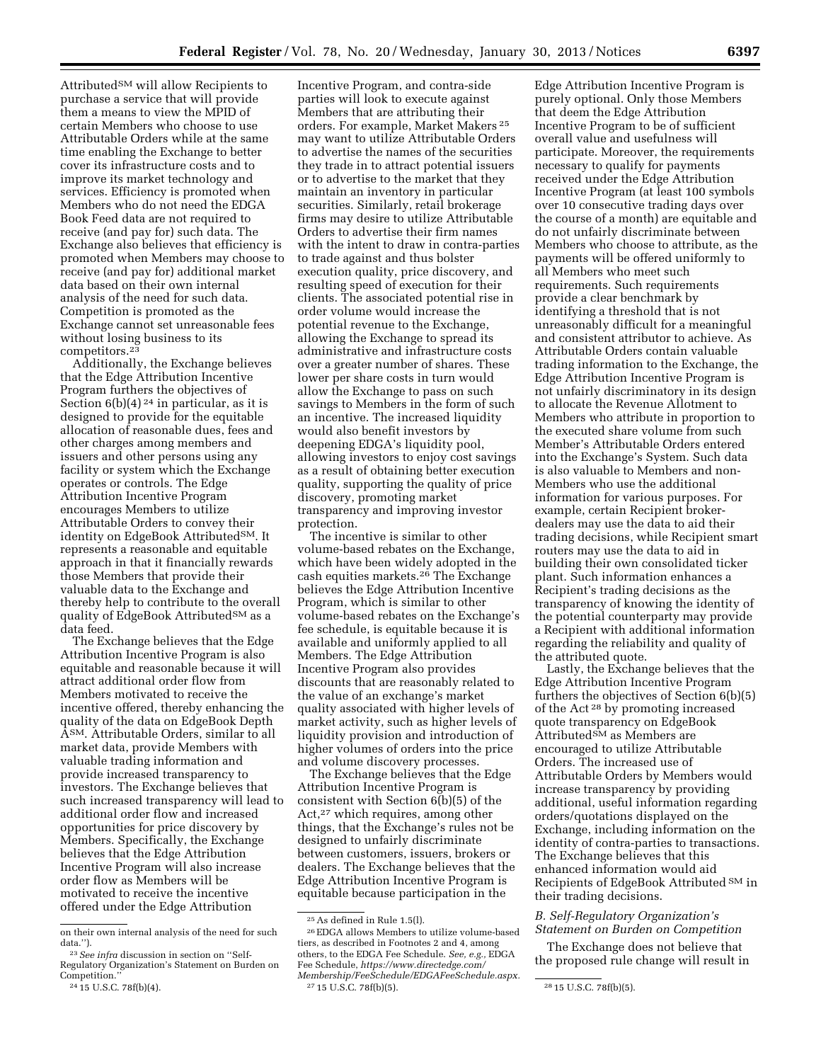Attributed<sup>SM</sup> will allow Recipients to purchase a service that will provide them a means to view the MPID of certain Members who choose to use Attributable Orders while at the same time enabling the Exchange to better cover its infrastructure costs and to improve its market technology and services. Efficiency is promoted when Members who do not need the EDGA Book Feed data are not required to receive (and pay for) such data. The Exchange also believes that efficiency is promoted when Members may choose to receive (and pay for) additional market data based on their own internal analysis of the need for such data. Competition is promoted as the Exchange cannot set unreasonable fees without losing business to its competitors.23

Additionally, the Exchange believes that the Edge Attribution Incentive Program furthers the objectives of Section  $6(b)(4)^{24}$  in particular, as it is designed to provide for the equitable allocation of reasonable dues, fees and other charges among members and issuers and other persons using any facility or system which the Exchange operates or controls. The Edge Attribution Incentive Program encourages Members to utilize Attributable Orders to convey their identity on EdgeBook AttributedSM. It represents a reasonable and equitable approach in that it financially rewards those Members that provide their valuable data to the Exchange and thereby help to contribute to the overall quality of EdgeBook AttributedSM as a data feed.

The Exchange believes that the Edge Attribution Incentive Program is also equitable and reasonable because it will attract additional order flow from Members motivated to receive the incentive offered, thereby enhancing the quality of the data on EdgeBook Depth ASM. Attributable Orders, similar to all market data, provide Members with valuable trading information and provide increased transparency to investors. The Exchange believes that such increased transparency will lead to additional order flow and increased opportunities for price discovery by Members. Specifically, the Exchange believes that the Edge Attribution Incentive Program will also increase order flow as Members will be motivated to receive the incentive offered under the Edge Attribution

Incentive Program, and contra-side parties will look to execute against Members that are attributing their orders. For example, Market Makers 25 may want to utilize Attributable Orders to advertise the names of the securities they trade in to attract potential issuers or to advertise to the market that they maintain an inventory in particular securities. Similarly, retail brokerage firms may desire to utilize Attributable Orders to advertise their firm names with the intent to draw in contra-parties to trade against and thus bolster execution quality, price discovery, and resulting speed of execution for their clients. The associated potential rise in order volume would increase the potential revenue to the Exchange, allowing the Exchange to spread its administrative and infrastructure costs over a greater number of shares. These lower per share costs in turn would allow the Exchange to pass on such savings to Members in the form of such an incentive. The increased liquidity would also benefit investors by deepening EDGA's liquidity pool, allowing investors to enjoy cost savings as a result of obtaining better execution quality, supporting the quality of price discovery, promoting market transparency and improving investor protection.

The incentive is similar to other volume-based rebates on the Exchange, which have been widely adopted in the cash equities markets.26 The Exchange believes the Edge Attribution Incentive Program, which is similar to other volume-based rebates on the Exchange's fee schedule, is equitable because it is available and uniformly applied to all Members. The Edge Attribution Incentive Program also provides discounts that are reasonably related to the value of an exchange's market quality associated with higher levels of market activity, such as higher levels of liquidity provision and introduction of higher volumes of orders into the price and volume discovery processes.

The Exchange believes that the Edge Attribution Incentive Program is consistent with Section 6(b)(5) of the Act,<sup>27</sup> which requires, among other things, that the Exchange's rules not be designed to unfairly discriminate between customers, issuers, brokers or dealers. The Exchange believes that the Edge Attribution Incentive Program is equitable because participation in the

Edge Attribution Incentive Program is purely optional. Only those Members that deem the Edge Attribution Incentive Program to be of sufficient overall value and usefulness will participate. Moreover, the requirements necessary to qualify for payments received under the Edge Attribution Incentive Program (at least 100 symbols over 10 consecutive trading days over the course of a month) are equitable and do not unfairly discriminate between Members who choose to attribute, as the payments will be offered uniformly to all Members who meet such requirements. Such requirements provide a clear benchmark by identifying a threshold that is not unreasonably difficult for a meaningful and consistent attributor to achieve. As Attributable Orders contain valuable trading information to the Exchange, the Edge Attribution Incentive Program is not unfairly discriminatory in its design to allocate the Revenue Allotment to Members who attribute in proportion to the executed share volume from such Member's Attributable Orders entered into the Exchange's System. Such data is also valuable to Members and non-Members who use the additional information for various purposes. For example, certain Recipient brokerdealers may use the data to aid their trading decisions, while Recipient smart routers may use the data to aid in building their own consolidated ticker plant. Such information enhances a Recipient's trading decisions as the transparency of knowing the identity of the potential counterparty may provide a Recipient with additional information regarding the reliability and quality of the attributed quote.

Lastly, the Exchange believes that the Edge Attribution Incentive Program furthers the objectives of Section 6(b)(5) of the Act 28 by promoting increased quote transparency on EdgeBook  $\tilde{A}$ ttributed<sup>SM</sup> as Members are encouraged to utilize Attributable Orders. The increased use of Attributable Orders by Members would increase transparency by providing additional, useful information regarding orders/quotations displayed on the Exchange, including information on the identity of contra-parties to transactions. The Exchange believes that this enhanced information would aid Recipients of EdgeBook Attributed SM in their trading decisions.

## *B. Self-Regulatory Organization's Statement on Burden on Competition*

The Exchange does not believe that the proposed rule change will result in

on their own internal analysis of the need for such data.''). 23*See infra* discussion in section on ''Self-

Regulatory Organization's Statement on Burden on Competition.'' 24 15 U.S.C. 78f(b)(4).

<sup>25</sup>As defined in Rule 1.5(l).

<sup>26</sup>EDGA allows Members to utilize volume-based tiers, as described in Footnotes 2 and 4, among others, to the EDGA Fee Schedule. *See, e.g.,* EDGA Fee Schedule, *[https://www.directedge.com/](https://www.directedge.com/Membership/FeeSchedule/EDGAFeeSchedule.aspx) [Membership/FeeSchedule/EDGAFeeSchedule.aspx.](https://www.directedge.com/Membership/FeeSchedule/EDGAFeeSchedule.aspx)*  27 15 U.S.C. 78f(b)(5). 28 15 U.S.C. 78f(b)(5).